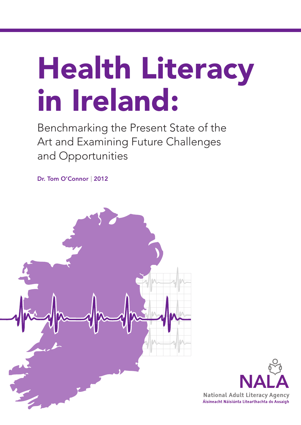# **Health Literacy in Ireland:**

Benchmarking the Present State of the Art and Examining Future Challenges and Opportunities

Dr. Tom O'Connor | 2012



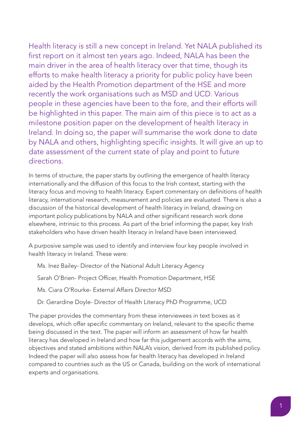Health literacy is still a new concept in Ireland. Yet NALA published its first report on it almost ten years ago. Indeed, NALA has been the main driver in the area of health literacy over that time, though its efforts to make health literacy a priority for public policy have been aided by the Health Promotion department of the HSE and more recently the work organisations such as MSD and UCD. Various people in these agencies have been to the fore, and their efforts will be highlighted in this paper. The main aim of this piece is to act as a milestone position paper on the development of health literacy in Ireland. In doing so, the paper will summarise the work done to date by NALA and others, highlighting specific insights. It will give an up to date assessment of the current state of play and point to future directions.

In terms of structure, the paper starts by outlining the emergence of health literacy internationally and the diffusion of this focus to the Irish context, starting with the literacy focus and moving to health literacy. Expert commentary on definitions of health literacy, international research, measurement and policies are evaluated. There is also a discussion of the historical development of health literacy in Ireland, drawing on important policy publications by NALA and other significant research work done elsewhere, intrinsic to this process. As part of the brief informing the paper, key Irish stakeholders who have driven health literacy in Ireland have been interviewed.

A purposive sample was used to identify and interview four key people involved in health literacy in Ireland. These were:

Ms. Inez Bailey- Director of the National Adult Literacy Agency

Sarah O'Brien- Project Officer, Health Promotion Department, HSE

Ms. Ciara O'Rourke- External Affairs Director MSD

Dr. Gerardine Doyle- Director of Health Literacy PhD Programme, UCD

The paper provides the commentary from these interviewees in text boxes as it develops, which offer specific commentary on Ireland, relevant to the specific theme being discussed in the text. The paper will inform an assessment of how far health literacy has developed in Ireland and how far this judgement accords with the aims, objectives and stated ambitions within NALA's vision, derived from its published policy. Indeed the paper will also assess how far health literacy has developed in Ireland compared to countries such as the US or Canada, building on the work of international experts and organisations.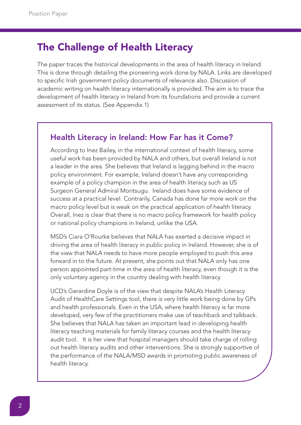## **The Challenge of Health Literacy**

The paper traces the historical developments in the area of health literacy in Ireland. This is done through detailing the pioneering work done by NALA. Links are developed to specific Irish government policy documents of relevance also. Discussion of academic writing on health literacy internationally is provided. The aim is to trace the development of health literacy in Ireland from its foundations and provide a current assessment of its status. (See Appendix 1)

#### Health Literacy in Ireland: How Far has it Come?

According to Inez Bailey, in the international context of health literacy, some useful work has been provided by NALA and others, but overall Ireland is not a leader in the area. She believes that Ireland is lagging behind in the macro policy environment. For example, Ireland doesn't have any corresponding example of a policy champion in the area of health literacy such as US Surgeon General Admiral Moritsugu. Ireland does have some evidence of success at a practical level. Contrarily, Canada has done far more work on the macro policy level but is weak on the practical application of health literacy. Overall, Inez is clear that there is no macro policy framework for health policy or national policy champions in Ireland, unlike the USA.

MSD's Ciara O'Rourke believes that NALA has exerted a decisive impact in driving the area of health literacy in public policy in Ireland. However, she is of the view that NALA needs to have more people employed to push this area forward in to the future. At present, she points out that NALA only has one person appointed part-time in the area of health literacy, even though it is the only voluntary agency in the country dealing with health literacy.

UCD's Gerardine Doyle is of the view that despite NALA's Health Literacy Audit of HealthCare Settings tool, there is very little work being done by GPs and health professionals. Even in the USA, where health literacy is far more developed, very few of the practitioners make use of teachback and talkback. She believes that NALA has taken an important lead in developing health literacy teaching materials for family literacy courses and the health literacy audit tool. It is her view that hospital managers should take charge of rolling out health literacy audits and other interventions. She is strongly supportive of the performance of the NALA/MSD awards in promoting public awareness of health literacy.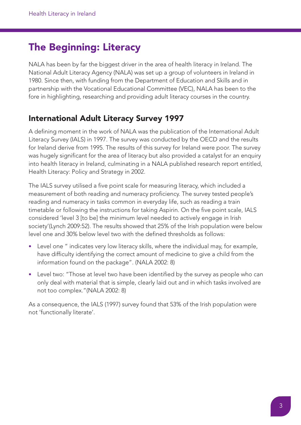# **The Beginning: Literacy**

NALA has been by far the biggest driver in the area of health literacy in Ireland. The National Adult Literacy Agency (NALA) was set up a group of volunteers in Ireland in 1980. Since then, with funding from the Department of Education and Skills and in partnership with the Vocational Educational Committee (VEC), NALA has been to the fore in highlighting, researching and providing adult literacy courses in the country.

#### **International Adult Literacy Survey 1997**

A defining moment in the work of NALA was the publication of the International Adult Literacy Survey (IALS) in 1997. The survey was conducted by the OECD and the results for Ireland derive from 1995. The results of this survey for Ireland were poor. The survey was hugely significant for the area of literacy but also provided a catalyst for an enquiry into health literacy in Ireland, culminating in a NALA published research report entitled, Health Literacy: Policy and Strategy in 2002.

The IALS survey utilised a five point scale for measuring literacy, which included a measurement of both reading and numeracy proficiency. The survey tested people's reading and numeracy in tasks common in everyday life, such as reading a train timetable or following the instructions for taking Aspirin. On the five point scale, IALS considered 'level 3 [to be] the minimum level needed to actively engage in Irish society'(Lynch 2009:52). The results showed that 25% of the Irish population were below level one and 30% below level two with the defined thresholds as follows:

- Level one " indicates very low literacy skills, where the individual may, for example, have difficulty identifying the correct amount of medicine to give a child from the information found on the package". (NALA 2002: 8)
- Level two: "Those at level two have been identified by the survey as people who can only deal with material that is simple, clearly laid out and in which tasks involved are not too complex."(NALA 2002: 8)

As a consequence, the IALS (1997) survey found that 53% of the Irish population were not 'functionally literate'.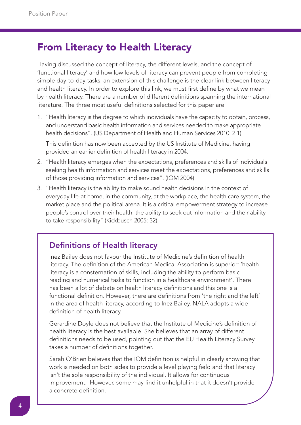# **From Literacy to Health Literacy**

Having discussed the concept of literacy, the different levels, and the concept of 'functional literacy' and how low levels of literacy can prevent people from completing simple day-to-day tasks, an extension of this challenge is the clear link between literacy and health literacy. In order to explore this link, we must first define by what we mean by health literacy. There are a number of different definitions spanning the international literature. The three most useful definitions selected for this paper are:

- 1. "Health literacy is the degree to which individuals have the capacity to obtain, process, and understand basic health information and services needed to make appropriate health decisions". (US Department of Health and Human Services 2010: 2.1) This definition has now been accepted by the US Institute of Medicine, having provided an earlier definition of health literacy in 2004:
- 2. "Health literacy emerges when the expectations, preferences and skills of individuals seeking health information and services meet the expectations, preferences and skills of those providing information and services". (IOM 2004)
- 3. "Health literacy is the ability to make sound health decisions in the context of everyday life-at home, in the community, at the workplace, the health care system, the market place and the political arena. It is a critical empowerment strategy to increase people's control over their health, the ability to seek out information and their ability to take responsibility" (Kickbusch 2005: 32).

#### Definitions of Health literacy

Inez Bailey does not favour the Institute of Medicine's definition of health literacy. The definition of the American Medical Association is superior: 'health literacy is a consternation of skills, including the ability to perform basic reading and numerical tasks to function in a healthcare environment'. There has been a lot of debate on health literacy definitions and this one is a functional definition. However, there are definitions from 'the right and the left' in the area of health literacy, according to Inez Bailey. NALA adopts a wide definition of health literacy.

Gerardine Doyle does not believe that the Institute of Medicine's definition of health literacy is the best available. She believes that an array of different definitions needs to be used, pointing out that the EU Health Literacy Survey takes a number of definitions together.

Sarah O'Brien believes that the IOM definition is helpful in clearly showing that work is needed on both sides to provide a level playing field and that literacy isn't the sole responsibility of the individual. It allows for continuous improvement. However, some may find it unhelpful in that it doesn't provide a concrete definition.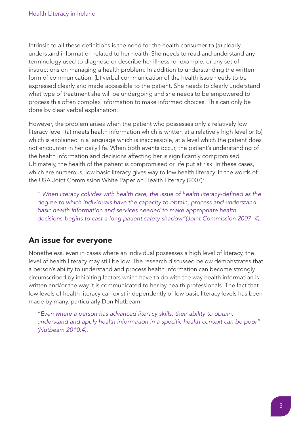Intrinsic to all these definitions is the need for the health consumer to (a) clearly understand information related to her health. She needs to read and understand any terminology used to diagnose or describe her illness for example, or any set of instructions on managing a health problem. In addition to understanding the written form of communication, (b) verbal communication of the health issue needs to be expressed clearly and made accessible to the patient. She needs to clearly understand what type of treatment she will be undergoing and she needs to be empowered to process this often complex information to make informed choices. This can only be done by clear verbal explanation.

However, the problem arises when the patient who possesses only a relatively low literacy level (a) meets health information which is written at a relatively high level or (b) which is explained in a language which is inaccessible, at a level which the patient does not encounter in her daily life. When both events occur, the patient's understanding of the health information and decisions affecting her is significantly compromised. Ultimately, the health of the patient is compromised or life put at risk. In these cases, which are numerous, low basic literacy gives way to low health literacy. In the words of the USA Joint Commission White Paper on Health Literacy (2007):

*" When literacy collides with health care, the issue of health literacy-defined as the degree to which individuals have the capacity to obtain, process and understand basic health information and services needed to make appropriate health decisions-begins to cast a long patient safety shadow"(Joint Commission 2007: 4).*

#### **An issue for everyone**

Nonetheless, even in cases where an individual possesses a high level of literacy, the level of health literacy may still be low. The research discussed below demonstrates that a person's ability to understand and process health information can become strongly circumscribed by inhibiting factors which have to do with the way health information is written and/or the way it is communicated to her by health professionals. The fact that low levels of health literacy can exist independently of low basic literacy levels has been made by many, particularly Don Nutbeam:

*"Even where a person has advanced literacy skills, their ability to obtain, understand and apply health information in a specific health context can be poor" (Nutbeam 2010:4).*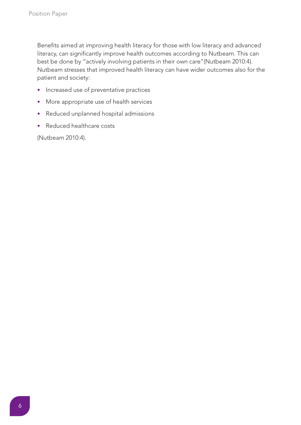Benefits aimed at improving health literacy for those with low literacy and advanced literacy, can significantly improve health outcomes according to Nutbeam. This can best be done by "actively involving patients in their own care"(Nutbeam 2010:4). Nutbeam stresses that improved health literacy can have wider outcomes also for the patient and society:

- Increased use of preventative practices
- More appropriate use of health services
- Reduced unplanned hospital admissions
- Reduced healthcare costs

(Nutbeam 2010:4).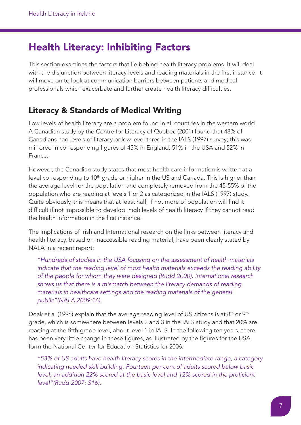# **Health Literacy: Inhibiting Factors**

This section examines the factors that lie behind health literacy problems. It will deal with the disjunction between literacy levels and reading materials in the first instance. It will move on to look at communication barriers between patients and medical professionals which exacerbate and further create health literacy difficulties.

#### **Literacy & Standards of Medical Writing**

Low levels of health literacy are a problem found in all countries in the western world. A Canadian study by the Centre for Literacy of Quebec (2001) found that 48% of Canadians had levels of literacy below level three in the IALS (1997) survey; this was mirrored in corresponding figures of 45% in England; 51% in the USA and 52% in France.

However, the Canadian study states that most health care information is written at a level corresponding to 10<sup>th</sup> grade or higher in the US and Canada. This is higher than the average level for the population and completely removed from the 45-55% of the population who are reading at levels 1 or 2 as categorized in the IALS (1997) study. Quite obviously, this means that at least half, if not more of population will find it difficult if not impossible to develop high levels of health literacy if they cannot read the health information in the first instance.

The implications of Irish and International research on the links between literacy and health literacy, based on inaccessible reading material, have been clearly stated by NALA in a recent report:

*"Hundreds of studies in the USA focusing on the assessment of health materials indicate that the reading level of most health materials exceeds the reading ability of the people for whom they were designed (Rudd 2000). International research shows us that there is a mismatch between the literacy demands of reading materials in healthcare settings and the reading materials of the general public"(NALA 2009:16).*

Doak et al (1996) explain that the average reading level of US citizens is at  $8<sup>th</sup>$  or  $9<sup>th</sup>$ grade, which is somewhere between levels 2 and 3 in the IALS study and that 20% are reading at the fifth grade level, about level 1 in IALS. In the following ten years, there has been very little change in these figures, as illustrated by the figures for the USA form the National Center for Education Statistics for 2006:

*"53% of US adults have health literacy scores in the intermediate range, a category indicating needed skill building. Fourteen per cent of adults scored below basic level; an addition 22% scored at the basic level and 12% scored in the proficient level"(Rudd 2007: S16).*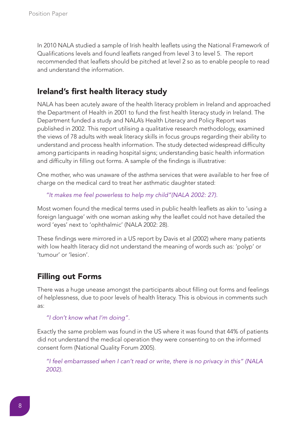In 2010 NALA studied a sample of Irish health leaflets using the National Framework of Qualifications levels and found leaflets ranged from level 3 to level 5. The report recommended that leaflets should be pitched at level 2 so as to enable people to read and understand the information.

#### **Ireland's first health literacy study**

NALA has been acutely aware of the health literacy problem in Ireland and approached the Department of Health in 2001 to fund the first health literacy study in Ireland. The Department funded a study and NALA's Health Literacy and Policy Report was published in 2002. This report utilising a qualitative research methodology, examined the views of 78 adults with weak literacy skills in focus groups regarding their ability to understand and process health information. The study detected widespread difficulty among participants in reading hospital signs; understanding basic health information and difficulty in filling out forms. A sample of the findings is illustrative:

One mother, who was unaware of the asthma services that were available to her free of charge on the medical card to treat her asthmatic daughter stated:

*"It makes me feel powerless to help my child"(NALA 2002: 27).*

Most women found the medical terms used in public health leaflets as akin to 'using a foreign language' with one woman asking why the leaflet could not have detailed the word 'eyes' next to 'ophthalmic' (NALA 2002: 28).

These findings were mirrored in a US report by Davis et al (2002) where many patients with low health literacy did not understand the meaning of words such as: 'polyp' or 'tumour' or 'lesion'.

#### **Filling out Forms**

There was a huge unease amongst the participants about filling out forms and feelings of helplessness, due to poor levels of health literacy. This is obvious in comments such as:

*"I don't know what I'm doing".*

Exactly the same problem was found in the US where it was found that 44% of patients did not understand the medical operation they were consenting to on the informed consent form (National Quality Forum 2005).

*"I feel embarrassed when I can't read or write, there is no privacy in this" (NALA 2002).*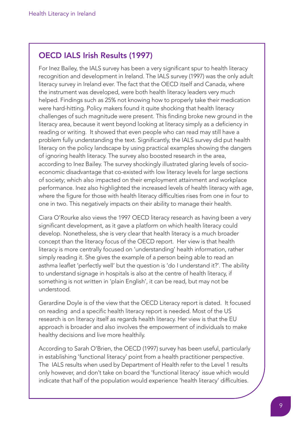#### OECD IALS Irish Results (1997)

For Inez Bailey, the IALS survey has been a very significant spur to health literacy recognition and development in Ireland. The IALS survey (1997) was the only adult literacy survey in Ireland ever. The fact that the OECD itself and Canada, where the instrument was developed, were both health literacy leaders very much helped. Findings such as 25% not knowing how to properly take their medication were hard-hitting. Policy makers found it quite shocking that health literacy challenges of such magnitude were present. This finding broke new ground in the literacy area, because it went beyond looking at literacy simply as a deficiency in reading or writing. It showed that even people who can read may still have a problem fully understanding the text. Significantly, the IALS survey did put health literacy on the policy landscape by using practical examples showing the dangers of ignoring health literacy. The survey also boosted research in the area, according to Inez Bailey. The survey shockingly illustrated glaring levels of socioeconomic disadvantage that co-existed with low literacy levels for large sections of society; which also impacted on their employment attainment and workplace performance. Inez also highlighted the increased levels of health literacy with age, where the figure for those with health literacy difficulties rises from one in four to one in two. This negatively impacts on their ability to manage their health.

Ciara O'Rourke also views the 1997 OECD literacy research as having been a very significant development, as it gave a platform on which health literacy could develop. Nonetheless, she is very clear that health literacy is a much broader concept than the literacy focus of the OECD report. Her view is that health literacy is more centrally focused on 'understanding' health information, rather simply reading it. She gives the example of a person being able to read an asthma leaflet 'perfectly well' but the question is 'do I understand it?'. The ability to understand signage in hospitals is also at the centre of health literacy, if something is not written in 'plain English', it can be read, but may not be understood.

Gerardine Doyle is of the view that the OECD Literacy report is dated. It focused on reading and a specific health literacy report is needed. Most of the US research is on literacy itself as regards health literacy. Her view is that the EU approach is broader and also involves the empowerment of individuals to make healthy decisions and live more healthily.

According to Sarah O'Brien, the OECD (1997) survey has been useful, particularly in establishing 'functional literacy' point from a health practitioner perspective. The IALS results when used by Department of Health refer to the Level 1 results only however, and don't take on board the 'functional literacy' issue which would indicate that half of the population would experience 'health literacy' difficulties.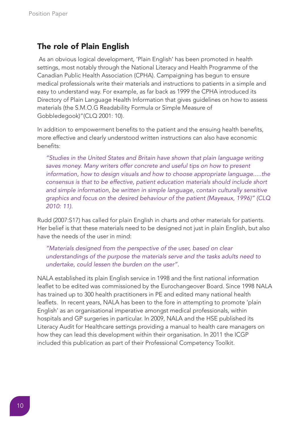#### **The role of Plain English**

As an obvious logical development, 'Plain English' has been promoted in health settings, most notably through the National Literacy and Health Programme of the Canadian Public Health Association (CPHA). Campaigning has begun to ensure medical professionals write their materials and instructions to patients in a simple and easy to understand way. For example, as far back as 1999 the CPHA introduced its Directory of Plain Language Health Information that gives guidelines on how to assess materials (the S.M.O.G Readability Formula or Simple Measure of Gobbledegook)"(CLQ 2001: 10).

In addition to empowerment benefits to the patient and the ensuing health benefits, more effective and clearly understood written instructions can also have economic benefits:

*"Studies in the United States and Britain have shown that plain language writing saves money. Many writers offer concrete and useful tips on how to present information, how to design visuals and how to choose appropriate language.....the consensus is that to be effective, patient education materials should include short and simple information, be written in simple language, contain culturally sensitive graphics and focus on the desired behaviour of the patient (Mayeaux, 1996)" (CLQ 2010: 11).*

Rudd (2007:S17) has called for plain English in charts and other materials for patients. Her belief is that these materials need to be designed not just in plain English, but also have the needs of the user in mind:

*"Materials designed from the perspective of the user, based on clear understandings of the purpose the materials serve and the tasks adults need to undertake, could lessen the burden on the user".*

NALA established its plain English service in 1998 and the first national information leaflet to be edited was commissioned by the Eurochangeover Board. Since 1998 NALA has trained up to 300 health practitioners in PE and edited many national health leaflets. In recent years, NALA has been to the fore in attempting to promote 'plain English' as an organisational imperative amongst medical professionals, within hospitals and GP surgeries in particular. In 2009, NALA and the HSE published its Literacy Audit for Healthcare settings providing a manual to health care managers on how they can lead this development within their organisation. In 2011 the ICGP included this publication as part of their Professional Competency Toolkit.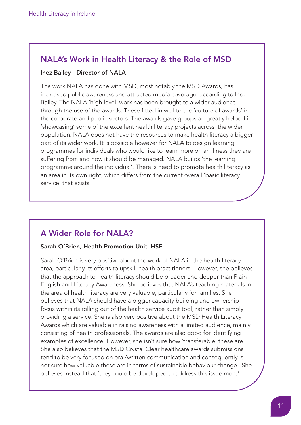#### NALA's Work in Health Literacy & the Role of MSD

#### Inez Bailey - Director of NALA

The work NALA has done with MSD, most notably the MSD Awards, has increased public awareness and attracted media coverage, according to Inez Bailey. The NALA 'high level' work has been brought to a wider audience through the use of the awards. These fitted in well to the 'culture of awards' in the corporate and public sectors. The awards gave groups an greatly helped in 'showcasing' some of the excellent health literacy projects across the wider population. NALA does not have the resources to make health literacy a bigger part of its wider work. It is possible however for NALA to design learning programmes for individuals who would like to learn more on an illness they are suffering from and how it should be managed. NALA builds 'the learning programme around the individual'. There is need to promote health literacy as an area in its own right, which differs from the current overall 'basic literacy service' that exists.

## A Wider Role for NALA?

#### Sarah O'Brien, Health Promotion Unit, HSE

Sarah O'Brien is very positive about the work of NALA in the health literacy area, particularly its efforts to upskill health practitioners. However, she believes that the approach to health literacy should be broader and deeper than Plain English and Literacy Awareness. She believes that NALA's teaching materials in the area of health literacy are very valuable, particularly for families. She believes that NALA should have a bigger capacity building and ownership focus within its rolling out of the health service audit tool, rather than simply providing a service. She is also very positive about the MSD Health Literacy Awards which are valuable in raising awareness with a limited audience, mainly consisting of health professionals. The awards are also good for identifying examples of excellence. However, she isn't sure how 'transferable' these are. She also believes that the MSD Crystal Clear healthcare awards submissions tend to be very focused on oral/written communication and consequently is not sure how valuable these are in terms of sustainable behaviour change. She believes instead that 'they could be developed to address this issue more'.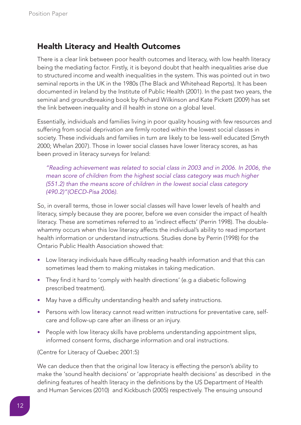## **Health Literacy and Health Outcomes**

There is a clear link between poor health outcomes and literacy, with low health literacy being the mediating factor. Firstly, it is beyond doubt that health inequalities arise due to structured income and wealth inequalities in the system. This was pointed out in two seminal reports in the UK in the 1980s (The Black and Whitehead Reports). It has been documented in Ireland by the Institute of Public Health (2001). In the past two years, the seminal and groundbreaking book by Richard Wilkinson and Kate Pickett (2009) has set the link between inequality and ill health in stone on a global level.

Essentially, individuals and families living in poor quality housing with few resources and suffering from social deprivation are firmly rooted within the lowest social classes in society. These individuals and families in turn are likely to be less-well educated (Smyth 2000; Whelan 2007). Those in lower social classes have lower literacy scores, as has been proved in literacy surveys for Ireland:

*"Reading achievement was related to social class in 2003 and in 2006. In 2006, the mean score of children from the highest social class category was much higher (551.2) than the means score of children in the lowest social class category (490.2)"(OECD-Pisa 2006).*

So, in overall terms, those in lower social classes will have lower levels of health and literacy, simply because they are poorer, before we even consider the impact of health literacy. These are sometimes referred to as 'indirect effects' (Perrin 1998). The doublewhammy occurs when this low literacy affects the individual's ability to read important health information or understand instructions. Studies done by Perrin (1998) for the Ontario Public Health Association showed that:

- Low literacy individuals have difficulty reading health information and that this can sometimes lead them to making mistakes in taking medication.
- They find it hard to 'comply with health directions' (e.g a diabetic following prescribed treatment).
- May have a difficulty understanding health and safety instructions.
- Persons with low literacy cannot read written instructions for preventative care, selfcare and follow-up care after an illness or an injury.
- People with low literacy skills have problems understanding appointment slips, informed consent forms, discharge information and oral instructions.

(Centre for Literacy of Quebec 2001:5)

We can deduce then that the original low literacy is effecting the person's ability to make the 'sound health decisions' or 'appropriate health decisions' as described in the defining features of health literacy in the definitions by the US Department of Health and Human Services (2010) and Kickbusch (2005) respectively. The ensuing unsound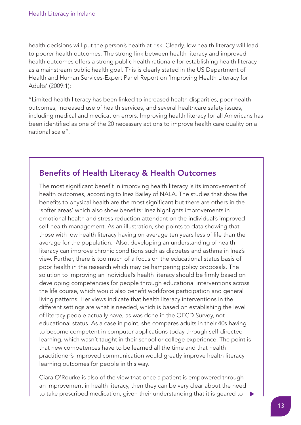health decisions will put the person's health at risk. Clearly, low health literacy will lead to poorer health outcomes. The strong link between health literacy and improved health outcomes offers a strong public health rationale for establishing health literacy as a mainstream public health goal. This is clearly stated in the US Department of Health and Human Services-Expert Panel Report on 'Improving Health Literacy for Adults' (2009:1):

"Limited health literacy has been linked to increased health disparities, poor health outcomes, increased use of health services, and several healthcare safety issues, including medical and medication errors. Improving health literacy for all Americans has been identified as one of the 20 necessary actions to improve health care quality on a national scale".

#### Benefits of Health Literacy & Health Outcomes

The most significant benefit in improving health literacy is its improvement of health outcomes, according to Inez Bailey of NALA. The studies that show the benefits to physical health are the most significant but there are others in the 'softer areas' which also show benefits: Inez highlights improvements in emotional health and stress reduction attendant on the individual's improved self-health management. As an illustration, she points to data showing that those with low health literacy having on average ten years less of life than the average for the population. Also, developing an understanding of health literacy can improve chronic conditions such as diabetes and asthma in Inez's view. Further, there is too much of a focus on the educational status basis of poor health in the research which may be hampering policy proposals. The solution to improving an individual's health literacy should be firmly based on developing competencies for people through educational interventions across the life course, which would also benefit workforce participation and general living patterns. Her views indicate that health literacy interventions in the different settings are what is needed, which is based on establishing the level of literacy people actually have, as was done in the OECD Survey, not educational status. As a case in point, she compares adults in their 40s having to become competent in computer applications today through self-directed learning, which wasn't taught in their school or college experience. The point is that new competences have to be learned all the time and that health practitioner's improved communication would greatly improve health literacy learning outcomes for people in this way.

Ciara O'Rourke is also of the view that once a patient is empowered through an improvement in health literacy, then they can be very clear about the need to take prescribed medication, given their understanding that it is geared to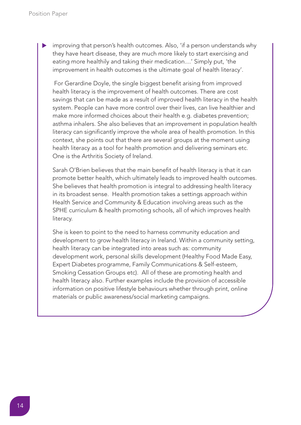improving that person's health outcomes. Also, 'if a person understands why they have heart disease, they are much more likely to start exercising and eating more healthily and taking their medication....' Simply put, 'the improvement in health outcomes is the ultimate goal of health literacy'. s

For Gerardine Doyle, the single biggest benefit arising from improved health literacy is the improvement of health outcomes. There are cost savings that can be made as a result of improved health literacy in the health system. People can have more control over their lives, can live healthier and make more informed choices about their health e.g. diabetes prevention; asthma inhalers. She also believes that an improvement in population health literacy can significantly improve the whole area of health promotion. In this context, she points out that there are several groups at the moment using health literacy as a tool for health promotion and delivering seminars etc. One is the Arthritis Society of Ireland.

Sarah O'Brien believes that the main benefit of health literacy is that it can promote better health, which ultimately leads to improved health outcomes. She believes that health promotion is integral to addressing health literacy in its broadest sense. Health promotion takes a settings approach within Health Service and Community & Education involving areas such as the SPHE curriculum & health promoting schools, all of which improves health literacy.

She is keen to point to the need to harness community education and development to grow health literacy in Ireland. Within a community setting, health literacy can be integrated into areas such as: community development work, personal skills development (Healthy Food Made Easy, Expert Diabetes programme, Family Communications & Self-esteem, Smoking Cessation Groups etc). All of these are promoting health and health literacy also. Further examples include the provision of accessible information on positive lifestyle behaviours whether through print, online materials or public awareness/social marketing campaigns.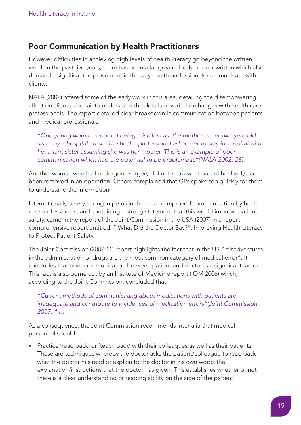#### **Poor Communication by Health Practitioners**

However difficulties in achieving high levels of health literacy go beyond the written word. In the past five years, there has been a far greater body of work written which also demand a significant improvement in the way health professionals communicate with clients.

NALA (2002) offered some of the early work in this area, detailing the disempowering affect on clients who fail to understand the details of verbal exchanges with health care professionals. The report detailed clear breakdown in communication between patients and medical professionals:

*"One young woman reported being mistaken as the mother of her two-year-old sister by a hospital nurse. The health professional asked her to stay in hospital with her infant sister assuming she was her mother. This is an example of poor communication which had the potential to be problematic"(NALA 2002: 28).*

Another woman who had undergone surgery did not know what part of her body had been removed in an operation. Others complained that GPs spoke too quickly for them to understand the information.

Internationally, a very strong impetus in the area of improved communication by health care professionals, and containing a strong statement that this would improve patient safety, came in the report of the Joint Commission in the USA (2007) in a report comprehensive report entitled: " What Did the Doctor Say?": Improving Health Literacy to Protect Patient Safety.

The Joint Commission (2007:11) report highlights the fact that in the US "misadventures in the administration of drugs are the most common category of medical error". It concludes that poor communication between patient and doctor is a significant factor. This fact is also borne out by an Institute of Medicine report (IOM 2006) which, according to the Joint Commission, concluded that:

*"Current methods of communicating about medications with patients are inadequate and contribute to incidences of medication errors"(Joint Commission 2007: 11).*

As a consequence, the Joint Commission recommends inter alia that medical personnel should:

• Practice 'read back' or 'teach back' with their colleagues as well as their patients. These are techniques whereby the doctor asks the patient/colleague to read back what the doctor has read or explain to the doctor in his own words the explanation/instructions that the doctor has given. This establishes whether or not there is a clear understanding or reading ability on the side of the patient.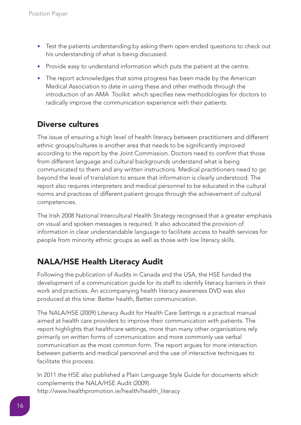- Test the patients understanding by asking them open-ended questions to check out his understanding of what is being discussed.
- Provide easy to understand information which puts the patient at the centre.
- The report acknowledges that some progress has been made by the American Medical Association to date in using these and other methods through the introduction of an AMA Toolkit which specifies new methodologies for doctors to radically improve the communication experience with their patients.

#### **Diverse cultures**

The issue of ensuring a high level of health literacy between practitioners and different ethnic groups/cultures is another area that needs to be significantly improved according to the report by the Joint Commission. Doctors need to confirm that those from different language and cultural backgrounds understand what is being communicated to them and any written instructions. Medical practitioners need to go beyond the level of translation to ensure that information is clearly understood. The report also requires interpreters and medical personnel to be educated in the cultural norms and practices of different patient groups through the achievement of cultural competencies.

The Irish 2008 National Intercultural Health Strategy recognised that a greater emphasis on visual and spoken messages is required. It also advocated the provision of information in clear understandable language to facilitate access to health services for people from minority ethnic groups as well as those with low literacy skills.

## **NALA/HSE Health Literacy Audit**

Following the publication of Audits in Canada and the USA, the HSE funded the development of a communication guide for its staff to identify literacy barriers in their work and practices. An accompanying health literacy awareness DVD was also produced at this time: Better health, Better communication.

The NALA/HSE (2009) Literacy Audit for Health Care Settings is a practical manual aimed at health care providers to improve their communication with patients. The report highlights that healthcare settings, more than many other organisations rely primarily on written forms of communication and more commonly use verbal communication as the most common form. The report argues for more interaction between patients and medical personnel and the use of interactive techniques to facilitate this process.

In 2011 the HSE also published a Plain Language Style Guide for documents which complements the NALA/HSE Audit (2009). http://www.healthpromotion.ie/health/health\_literacy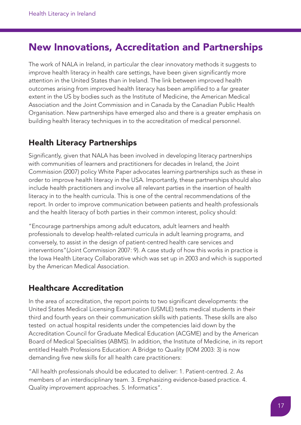# **New Innovations, Accreditation and Partnerships**

The work of NALA in Ireland, in particular the clear innovatory methods it suggests to improve health literacy in health care settings, have been given significantly more attention in the United States than in Ireland. The link between improved health outcomes arising from improved health literacy has been amplified to a far greater extent in the US by bodies such as the Institute of Medicine, the American Medical Association and the Joint Commission and in Canada by the Canadian Public Health Organisation. New partnerships have emerged also and there is a greater emphasis on building health literacy techniques in to the accreditation of medical personnel.

#### **Health Literacy Partnerships**

Significantly, given that NALA has been involved in developing literacy partnerships with communities of learners and practitioners for decades in Ireland, the Joint Commission (2007) policy White Paper advocates learning partnerships such as these in order to improve health literacy in the USA. Importantly, these partnerships should also include health practitioners and involve all relevant parties in the insertion of health literacy in to the health curricula. This is one of the central recommendations of the report. In order to improve communication between patients and health professionals and the health literacy of both parties in their common interest, policy should:

"Encourage partnerships among adult educators, adult learners and health professionals to develop health-related curricula in adult learning programs, and conversely, to assist in the design of patient-centred health care services and interventions"(Joint Commission 2007: 9). A case study of how this works in practice is the Iowa Health Literacy Collaborative which was set up in 2003 and which is supported by the American Medical Association.

#### **Healthcare Accreditation**

In the area of accreditation, the report points to two significant developments: the United States Medical Licensing Examination (USMLE) tests medical students in their third and fourth years on their communication skills with patients. These skills are also tested on actual hospital residents under the competencies laid down by the Accreditation Council for Graduate Medical Education (ACGME) and by the American Board of Medical Specialities (ABMS). In addition, the Institute of Medicine, in its report entitled Health Professions Education: A Bridge to Quality (IOM 2003: 3) is now demanding five new skills for all health care practitioners:

"All health professionals should be educated to deliver: 1. Patient-centred. 2. As members of an interdisciplinary team. 3. Emphasizing evidence-based practice. 4. Quality improvement approaches. 5. Informatics".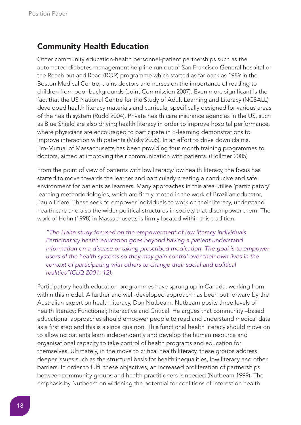#### **Community Health Education**

Other community education-health personnel-patient partnerships such as the automated diabetes management helpline run out of San Francisco General hospital or the Reach out and Read (ROR) programme which started as far back as 1989 in the Boston Medical Centre, trains doctors and nurses on the importance of reading to children from poor backgrounds (Joint Commission 2007). Even more significant is the fact that the US National Centre for the Study of Adult Learning and Literacy (NCSALL) developed health literacy materials and curricula, specifically designed for various areas of the health system (Rudd 2004). Private health care insurance agencies in the US, such as Blue Shield are also driving health literacy in order to improve hospital performance, where physicians are encouraged to participate in E-learning demonstrations to improve interaction with patients (Misky 2005). In an effort to drive down claims, Pro-Mutual of Massachusetts has been providing four month training programmes to doctors, aimed at improving their communication with patients. (Hollmer 2005)

From the point of view of patients with low literacy/low health literacy, the focus has started to move towards the learner and particularly creating a conducive and safe environment for patients as learners. Many approaches in this area utilise 'participatory' learning methododologies, which are firmly rooted in the work of Brazilian educator, Paulo Friere. These seek to empower individuals to work on their literacy, understand health care and also the wider political structures in society that disempower them. The work of Hohn (1998) in Massachusetts is firmly located within this tradition:

*"The Hohn study focused on the empowerment of low literacy individuals. Participatory health education goes beyond having a patient understand information on a disease or taking prescribed medication. The goal is to empower users of the health systems so they may gain control over their own lives in the context of participating with others to change their social and political realities"(CLQ 2001: 12).*

Participatory health education programmes have sprung up in Canada, working from within this model. A further and well-developed approach has been put forward by the Australian expert on health literacy, Don Nutbeam. Nutbeam posits three levels of health literacy: Functional; Interactive and Critical. He argues that community –based educational approaches should empower people to read and understand medical data as a first step and this is a since qua non. This functional health literacy should move on to allowing patients learn independently and develop the human resource and organisational capacity to take control of health programs and education for themselves. Ultimately, in the move to critical health literacy, these groups address deeper issues such as the structural basis for health inequalities, low literacy and other barriers. In order to fulfil these objectives, an increased proliferation of partnerships between community groups and health practitioners is needed (Nutbeam 1999). The emphasis by Nutbeam on widening the potential for coalitions of interest on health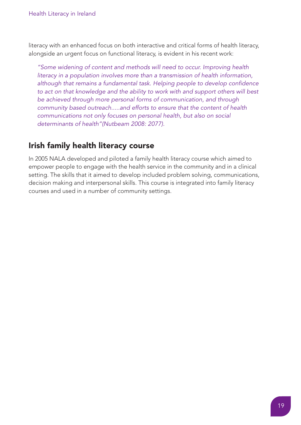literacy with an enhanced focus on both interactive and critical forms of health literacy, alongside an urgent focus on functional literacy, is evident in his recent work:

*"Some widening of content and methods will need to occur. Improving health literacy in a population involves more than a transmission of health information, although that remains a fundamental task. Helping people to develop confidence to act on that knowledge and the ability to work with and support others will best be achieved through more personal forms of communication, and through community based outreach.....and efforts to ensure that the content of health communications not only focuses on personal health, but also on social determinants of health"(Nutbeam 2008: 2077).*

#### **Irish family health literacy course**

In 2005 NALA developed and piloted a family health literacy course which aimed to empower people to engage with the health service in the community and in a clinical setting. The skills that it aimed to develop included problem solving, communications, decision making and interpersonal skills. This course is integrated into family literacy courses and used in a number of community settings.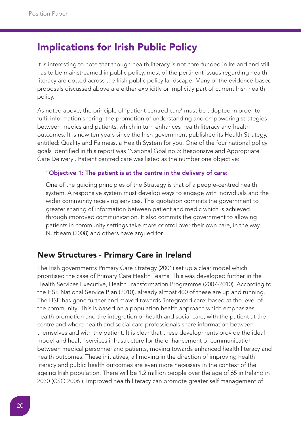# **Implications for Irish Public Policy**

It is interesting to note that though health literacy is not core-funded in Ireland and still has to be mainstreamed in public policy, most of the pertinent issues regarding health literacy are dotted across the Irish public policy landscape. Many of the evidence-based proposals discussed above are either explicitly or implicitly part of current Irish health policy.

As noted above, the principle of 'patient centred care' must be adopted in order to fulfil information sharing, the promotion of understanding and empowering strategies between medics and patients, which in turn enhances health literacy and health outcomes. It is now ten years since the Irish government published its Health Strategy, entitled: Quality and Fairness, a Health System for you. One of the four national policy goals identified in this report was 'National Goal no.3: Responsive and Appropriate Care Delivery'. Patient centred care was listed as the number one objective:

#### "Objective 1: The patient is at the centre in the delivery of care:

One of the guiding principles of the Strategy is that of a people-centred health system. A responsive system must develop ways to engage with individuals and the wider community receiving services. This quotation commits the government to greater sharing of information between patient and medic which is achieved through improved communication. It also commits the government to allowing patients in community settings take more control over their own care, in the way Nutbeam (2008) and others have argued for.

#### **New Structures - Primary Care in Ireland**

The Irish governments Primary Care Strategy (2001) set up a clear model which prioritised the case of Primary Care Health Teams. This was developed further in the Health Services Executive, Health Transformation Programme (2007-2010). According to the HSE National Service Plan (2010), already almost 400 of these are up and running. The HSE has gone further and moved towards 'integrated care' based at the level of the community .This is based on a population health approach which emphasizes health promotion and the integration of health and social care, with the patient at the centre and where health and social care professionals share information between themselves and with the patient. It is clear that these developments provide the ideal model and health services infrastructure for the enhancement of communication between medical personnel and patients, moving towards enhanced health literacy and health outcomes. These initiatives, all moving in the direction of improving health literacy and public health outcomes are even more necessary in the context of the ageing Irish population. There will be 1.2 million people over the age of 65 in Ireland in 2030 (CSO 2006 ). Improved health literacy can promote greater self management of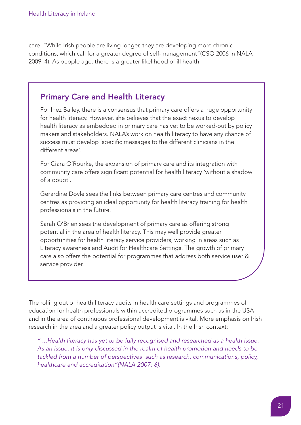care. "While Irish people are living longer, they are developing more chronic conditions, which call for a greater degree of self-management"(CSO 2006 in NALA 2009: 4). As people age, there is a greater likelihood of ill health.

#### Primary Care and Health Literacy

For Inez Bailey, there is a consensus that primary care offers a huge opportunity for health literacy. However, she believes that the exact nexus to develop health literacy as embedded in primary care has yet to be worked-out by policy makers and stakeholders. NALA's work on health literacy to have any chance of success must develop 'specific messages to the different clinicians in the different areas'.

For Ciara O'Rourke, the expansion of primary care and its integration with community care offers significant potential for health literacy 'without a shadow of a doubt'.

Gerardine Doyle sees the links between primary care centres and community centres as providing an ideal opportunity for health literacy training for health professionals in the future.

Sarah O'Brien sees the development of primary care as offering strong potential in the area of health literacy. This may well provide greater opportunities for health literacy service providers, working in areas such as Literacy awareness and Audit for Healthcare Settings. The growth of primary care also offers the potential for programmes that address both service user & service provider.

The rolling out of health literacy audits in health care settings and programmes of education for health professionals within accredited programmes such as in the USA and in the area of continuous professional development is vital. More emphasis on Irish research in the area and a greater policy output is vital. In the Irish context:

*" ...Health literacy has yet to be fully recognised and researched as a health issue. As an issue, it is only discussed in the realm of health promotion and needs to be tackled from a number of perspectives such as research, communications, policy, healthcare and accreditation"(NALA 2007: 6).*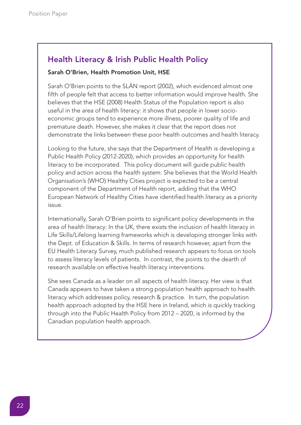## Health Literacy & Irish Public Health Policy

#### Sarah O'Brien, Health Promotion Unit, HSE

Sarah O'Brien points to the SLÁN report (2002), which evidenced almost one fifth of people felt that access to better information would improve health. She believes that the HSE (2008) Health Status of the Population report is also useful in the area of health literacy: it shows that people in lower socioeconomic groups tend to experience more illness, poorer quality of life and premature death. However, she makes it clear that the report does not demonstrate the links between these poor health outcomes and health literacy.

Looking to the future, she says that the Department of Health is developing a Public Health Policy (2012-2020), which provides an opportunity for health literacy to be incorporated. This policy document will guide public health policy and action across the health system. She believes that the World Health Organisation's (WHO) Healthy Cities project is expected to be a central component of the Department of Health report, adding that the WHO European Network of Healthy Cities have identified health literacy as a priority issue.

Internationally, Sarah O'Brien points to significant policy developments in the area of health literacy: In the UK, there exists the inclusion of health literacy in Life Skills/Lifelong learning frameworks which is developing stronger links with the Dept. of Education & Skills. In terms of research however, apart from the EU Health Literacy Survey, much published research appears to focus on tools to assess literacy levels of patients. In contrast, the points to the dearth of research available on effective health literacy interventions.

She sees Canada as a leader on all aspects of health literacy. Her view is that Canada appears to have taken a strong population health approach to health literacy which addresses policy, research & practice. In turn, the population health approach adopted by the HSE here in Ireland, which is quickly tracking through into the Public Health Policy from 2012 – 2020, is informed by the Canadian population health approach.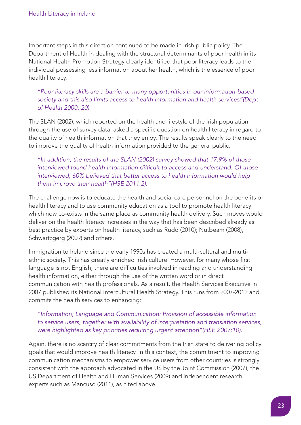Important steps in this direction continued to be made in Irish public policy. The Department of Health in dealing with the structural determinants of poor health in its National Health Promotion Strategy clearly identified that poor literacy leads to the individual possessing less information about her health, which is the essence of poor health literacy:

*"Poor literacy skills are a barrier to many opportunities in our information-based society and this also limits access to health information and health services"(Dept of Health 2000: 20).*

The SLÁN (2002), which reported on the health and lifestyle of the Irish population through the use of survey data, asked a specific question on health literacy in regard to the quality of health information that they enjoy. The results speak clearly to the need to improve the quality of health information provided to the general public:

*"In addition, the results of the SLAN (2002) survey showed that 17.9% of those interviewed found health information difficult to access and understand. Of those interviewed, 60% believed that better access to health information would help them improve their health"(HSE 2011:2).*

The challenge now is to educate the health and social care personnel on the benefits of health literacy and to use community education as a tool to promote health literacy which now co-exists in the same place as community health delivery. Such moves would deliver on the health literacy increases in the way that has been described already as best practice by experts on health literacy, such as Rudd (2010); Nutbeam (2008), Schwartzgerg (2009) and others.

Immigration to Ireland since the early 1990s has created a multi-cultural and multiethnic society. This has greatly enriched Irish culture. However, for many whose first language is not English, there are difficulties involved in reading and understanding health information, either through the use of the written word or in direct communication with health professionals. As a result, the Health Services Executive in 2007 published its National Intercultural Health Strategy. This runs from 2007-2012 and commits the health services to enhancing:

*"Information, Language and Communication: Provision of accessible information to service users, together with availability of interpretation and translation services, were highlighted as key priorities requiring urgent attention"(HSE 2007:10).*

Again, there is no scarcity of clear commitments from the Irish state to delivering policy goals that would improve health literacy. In this context, the commitment to improving communication mechanisms to empower service users from other countries is strongly consistent with the approach advocated in the US by the Joint Commission (2007), the US Department of Health and Human Services (2009) and independent research experts such as Mancuso (2011), as cited above.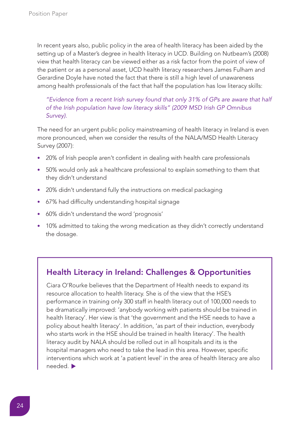In recent years also, public policy in the area of health literacy has been aided by the setting up of a Master's degree in health literacy in UCD. Building on Nutbeam's (2008) view that health literacy can be viewed either as a risk factor from the point of view of the patient or as a personal asset, UCD health literacy researchers James Fulham and Gerardine Doyle have noted the fact that there is still a high level of unawareness among health professionals of the fact that half the population has low literacy skills:

*"Evidence from a recent Irish survey found that only 31% of GPs are aware that half of the Irish population have low literacy skills" (2009 MSD Irish GP Omnibus Survey).*

The need for an urgent public policy mainstreaming of health literacy in Ireland is even more pronounced, when we consider the results of the NALA/MSD Health Literacy Survey (2007):

- 20% of Irish people aren't confident in dealing with health care professionals
- 50% would only ask a healthcare professional to explain something to them that they didn't understand
- 20% didn't understand fully the instructions on medical packaging
- 67% had difficulty understanding hospital signage
- 60% didn't understand the word 'prognosis'
- 10% admitted to taking the wrong medication as they didn't correctly understand the dosage.

#### Health Literacy in Ireland: Challenges & Opportunities

Ciara O'Rourke believes that the Department of Health needs to expand its resource allocation to health literacy. She is of the view that the HSE's performance in training only 300 staff in health literacy out of 100,000 needs to be dramatically improved: 'anybody working with patients should be trained in health literacy'. Her view is that 'the government and the HSE needs to have a policy about health literacy'. In addition, 'as part of their induction, everybody who starts work in the HSE should be trained in health literacy'. The health literacy audit by NALA should be rolled out in all hospitals and its is the hospital managers who need to take the lead in this area. However, specific interventions which work at 'a patient level' in the area of health literacy are also needed. ▶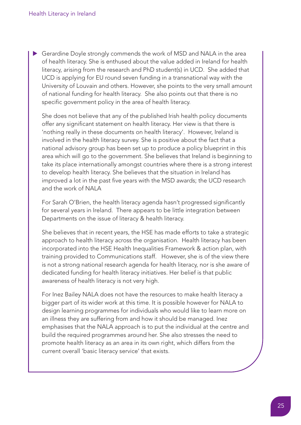Gerardine Doyle strongly commends the work of MSD and NALA in the area sof health literacy. She is enthused about the value added in Ireland for health literacy, arising from the research and PhD student(s) in UCD. She added that UCD is applying for EU round seven funding in a transnational way with the University of Louvain and others. However, she points to the very small amount of national funding for health literacy. She also points out that there is no specific government policy in the area of health literacy.

She does not believe that any of the published Irish health policy documents offer any significant statement on health literacy. Her view is that there is 'nothing really in these documents on health literacy'. However, Ireland is involved in the health literacy survey. She is positive about the fact that a national advisory group has been set up to produce a policy blueprint in this area which will go to the government. She believes that Ireland is beginning to take its place internationally amongst countries where there is a strong interest to develop health literacy. She believes that the situation in Ireland has improved a lot in the past five years with the MSD awards; the UCD research and the work of NALA

For Sarah O'Brien, the health literacy agenda hasn't progressed significantly for several years in Ireland. There appears to be little integration between Departments on the issue of literacy & health literacy.

She believes that in recent years, the HSE has made efforts to take a strategic approach to health literacy across the organisation. Health literacy has been incorporated into the HSE Health Inequalities Framework & action plan, with training provided to Communications staff. However, she is of the view there is not a strong national research agenda for health literacy, nor is she aware of dedicated funding for health literacy initiatives. Her belief is that public awareness of health literacy is not very high.

For Inez Bailey NALA does not have the resources to make health literacy a bigger part of its wider work at this time. It is possible however for NALA to design learning programmes for individuals who would like to learn more on an illness they are suffering from and how it should be managed. Inez emphasises that the NALA approach is to put the individual at the centre and build the required programmes around her. She also stresses the need to promote health literacy as an area in its own right, which differs from the current overall 'basic literacy service' that exists.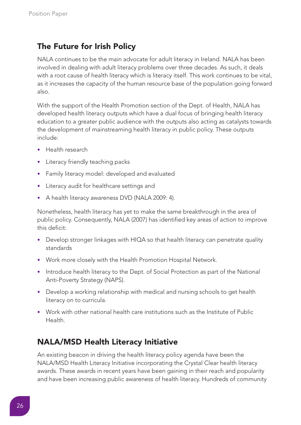## **The Future for Irish Policy**

NALA continues to be the main advocate for adult literacy in Ireland. NALA has been involved in dealing with adult literacy problems over three decades. As such, it deals with a root cause of health literacy which is literacy itself. This work continues to be vital, as it increases the capacity of the human resource base of the population going forward also.

With the support of the Health Promotion section of the Dept. of Health, NALA has developed health literacy outputs which have a dual focus of bringing health literacy education to a greater public audience with the outputs also acting as catalysts towards the development of mainstreaming health literacy in public policy. These outputs include:

- Health research
- Literacy friendly teaching packs
- Family literacy model: developed and evaluated
- Literacy audit for healthcare settings and
- A health literacy awareness DVD (NALA 2009: 4).

Nonetheless, health literacy has yet to make the same breakthrough in the area of public policy. Consequently, NALA (2007) has identified key areas of action to improve this deficit:

- Develop stronger linkages with HIQA so that health literacy can penetrate quality standards
- Work more closely with the Health Promotion Hospital Network.
- Introduce health literacy to the Dept. of Social Protection as part of the National Anti-Poverty Strategy (NAPS).
- Develop a working relationship with medical and nursing schools to get health literacy on to curricula.
- Work with other national health care institutions such as the Institute of Public Health.

## **NALA/MSD Health Literacy Initiative**

An existing beacon in driving the health literacy policy agenda have been the NALA/MSD Health Literacy Initiative incorporating the Crystal Clear health literacy awards. These awards in recent years have been gaining in their reach and popularity and have been increasing public awareness of health literacy. Hundreds of community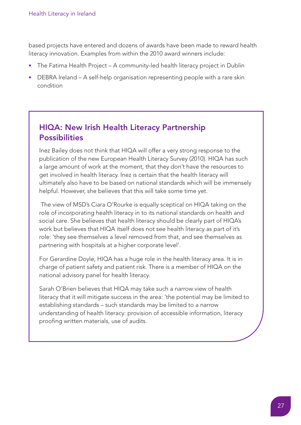based projects have entered and dozens of awards have been made to reward health literacy innovation. Examples from within the 2010 award winners include:

- The Fatima Health Project A community-led health literacy project in Dublin
- DEBRA Ireland A self-help organisation representing people with a rare skin condition

#### HIQA: New Irish Health Literacy Partnership **Possibilities**

Inez Bailey does not think that HIQA will offer a very strong response to the publication of the new European Health Literacy Survey (2010). HIQA has such a large amount of work at the moment, that they don't have the resources to get involved in health literacy. Inez is certain that the health literacy will ultimately also have to be based on national standards which will be immensely helpful. However, she believes that this will take some time yet.

The view of MSD's Ciara O'Rourke is equally sceptical on HIQA taking on the role of incorporating health literacy in to its national standards on health and social care. She believes that health literacy should be clearly part of HIQA's work but believes that HIQA itself does not see health literacy as part of it's role: 'they see themselves a level removed from that, and see themselves as partnering with hospitals at a higher corporate level'.

For Gerardine Doyle, HIQA has a huge role in the health literacy area. It is in charge of patient safety and patient risk. There is a member of HIQA on the national advisory panel for health literacy.

Sarah O'Brien believes that HIQA may take such a narrow view of health literacy that it will mitigate success in the area: 'the potential may be limited to establishing standards – such standards may be limited to a narrow understanding of health literacy: provision of accessible information, literacy proofing written materials, use of audits.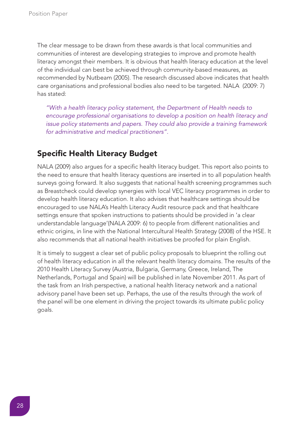The clear message to be drawn from these awards is that local communities and communities of interest are developing strategies to improve and promote health literacy amongst their members. It is obvious that health literacy education at the level of the individual can best be achieved through community-based measures, as recommended by Nutbeam (2005). The research discussed above indicates that health care organisations and professional bodies also need to be targeted. NALA (2009: 7) has stated:

*"With a health literacy policy statement, the Department of Health needs to encourage professional organisations to develop a position on health literacy and issue policy statements and papers. They could also provide a training framework for administrative and medical practitioners".*

## **Specific Health Literacy Budget**

NALA (2009) also argues for a specific health literacy budget. This report also points to the need to ensure that health literacy questions are inserted in to all population health surveys going forward. It also suggests that national health screening programmes such as Breastcheck could develop synergies with local VEC literacy programmes in order to develop health literacy education. It also advises that healthcare settings should be encouraged to use NALA's Health Literacy Audit resource pack and that healthcare settings ensure that spoken instructions to patients should be provided in 'a clear understandable language'(NALA 2009: 6) to people from different nationalities and ethnic origins, in line with the National Intercultural Health Strategy (2008) of the HSE. It also recommends that all national health initiatives be proofed for plain English.

It is timely to suggest a clear set of public policy proposals to blueprint the rolling out of health literacy education in all the relevant health literacy domains. The results of the 2010 Health Literacy Survey (Austria, Bulgaria, Germany, Greece, Ireland, The Netherlands, Portugal and Spain) will be published in late November 2011. As part of the task from an Irish perspective, a national health literacy network and a national advisory panel have been set up. Perhaps, the use of the results through the work of the panel will be one element in driving the project towards its ultimate public policy goals.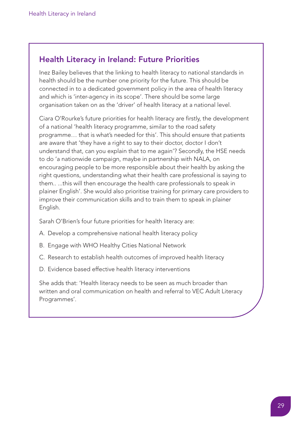#### Health Literacy in Ireland: Future Priorities

Inez Bailey believes that the linking to health literacy to national standards in health should be the number one priority for the future. This should be connected in to a dedicated government policy in the area of health literacy and which is 'inter-agency in its scope'. There should be some large organisation taken on as the 'driver' of health literacy at a national level.

Ciara O'Rourke's future priorities for health literacy are firstly, the development of a national 'health literacy programme, similar to the road safety programme… that is what's needed for this'. This should ensure that patients are aware that 'they have a right to say to their doctor, doctor I don't understand that, can you explain that to me again'? Secondly, the HSE needs to do 'a nationwide campaign, maybe in partnership with NALA, on encouraging people to be more responsible about their health by asking the right questions, understanding what their health care professional is saying to them.. ...this will then encourage the health care professionals to speak in plainer English'. She would also prioritise training for primary care providers to improve their communication skills and to train them to speak in plainer English.

Sarah O'Brien's four future priorities for health literacy are:

- A. Develop a comprehensive national health literacy policy
- B. Engage with WHO Healthy Cities National Network
- C. Research to establish health outcomes of improved health literacy
- D. Evidence based effective health literacy interventions

She adds that: 'Health literacy needs to be seen as much broader than written and oral communication on health and referral to VEC Adult Literacy Programmes'.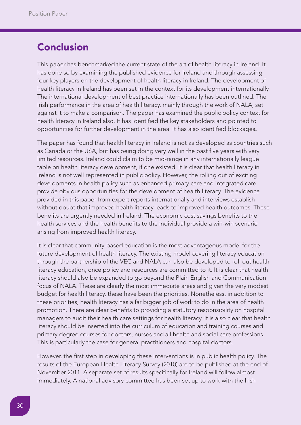# **Conclusion**

This paper has benchmarked the current state of the art of health literacy in Ireland. It has done so by examining the published evidence for Ireland and through assessing four key players on the development of health literacy in Ireland. The development of health literacy in Ireland has been set in the context for its development internationally. The international development of best practice internationally has been outlined. The Irish performance in the area of health literacy, mainly through the work of NALA, set against it to make a comparison. The paper has examined the public policy context for health literacy in Ireland also. It has identified the key stakeholders and pointed to opportunities for further development in the area. It has also identified blockages.

The paper has found that health literacy in Ireland is not as developed as countries such as Canada or the USA, but has being doing very well in the past five years with very limited resources. Ireland could claim to be mid-range in any internationally league table on health literacy development, if one existed. It is clear that health literacy in Ireland is not well represented in public policy. However, the rolling out of exciting developments in health policy such as enhanced primary care and integrated care provide obvious opportunities for the development of health literacy. The evidence provided in this paper from expert reports internationally and interviews establish without doubt that improved health literacy leads to improved health outcomes. These benefits are urgently needed in Ireland. The economic cost savings benefits to the health services and the health benefits to the individual provide a win-win scenario arising from improved health literacy.

It is clear that community-based education is the most advantageous model for the future development of health literacy. The existing model covering literacy education through the partnership of the VEC and NALA can also be developed to roll out health literacy education, once policy and resources are committed to it. It is clear that health literacy should also be expanded to go beyond the Plain English and Communication focus of NALA. These are clearly the most immediate areas and given the very modest budget for health literacy, these have been the priorities. Nonetheless, in addition to these priorities, health literacy has a far bigger job of work to do in the area of health promotion. There are clear benefits to providing a statutory responsibility on hospital managers to audit their health care settings for health literacy. It is also clear that health literacy should be inserted into the curriculum of education and training courses and primary degree courses for doctors, nurses and all health and social care professions. This is particularly the case for general practitioners and hospital doctors.

However, the first step in developing these interventions is in public health policy. The results of the European Health Literacy Survey (2010) are to be published at the end of November 2011. A separate set of results specifically for Ireland will follow almost immediately. A national advisory committee has been set up to work with the Irish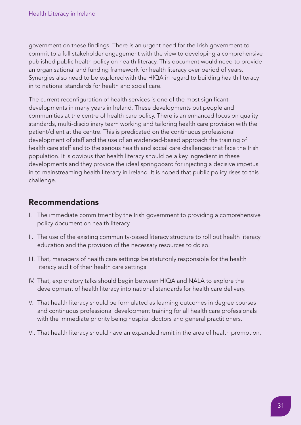government on these findings. There is an urgent need for the Irish government to commit to a full stakeholder engagement with the view to developing a comprehensive published public health policy on health literacy. This document would need to provide an organisational and funding framework for health literacy over period of years. Synergies also need to be explored with the HIQA in regard to building health literacy in to national standards for health and social care.

The current reconfiguration of health services is one of the most significant developments in many years in Ireland. These developments put people and communities at the centre of health care policy. There is an enhanced focus on quality standards, multi-disciplinary team working and tailoring health care provision with the patient/client at the centre. This is predicated on the continuous professional development of staff and the use of an evidenced-based approach the training of health care staff and to the serious health and social care challenges that face the Irish population. It is obvious that health literacy should be a key ingredient in these developments and they provide the ideal springboard for injecting a decisive impetus in to mainstreaming health literacy in Ireland. It is hoped that public policy rises to this challenge.

## **Recommendations**

- I. The immediate commitment by the Irish government to providing a comprehensive policy document on health literacy.
- II. The use of the existing community-based literacy structure to roll out health literacy education and the provision of the necessary resources to do so.
- III. That, managers of health care settings be statutorily responsible for the health literacy audit of their health care settings.
- IV. That, exploratory talks should begin between HIQA and NALA to explore the development of health literacy into national standards for health care delivery.
- V. That health literacy should be formulated as learning outcomes in degree courses and continuous professional development training for all health care professionals with the immediate priority being hospital doctors and general practitioners.
- VI. That health literacy should have an expanded remit in the area of health promotion.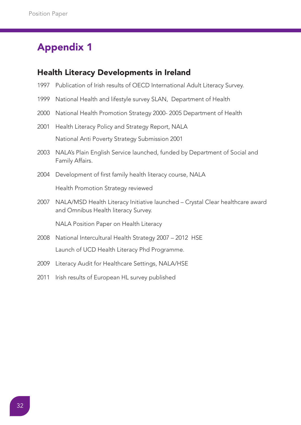# **Appendix 1**

#### **Health Literacy Developments in Ireland**

- 1997 Publication of Irish results of OECD International Adult Literacy Survey.
- 1999 National Health and lifestyle survey SLAN, Department of Health
- 2000 National Health Promotion Strategy 2000- 2005 Department of Health
- 2001 Health Literacy Policy and Strategy Report, NALA National Anti Poverty Strategy Submission 2001
- 2003 NALA's Plain English Service launched, funded by Department of Social and Family Affairs.
- 2004 Development of first family health literacy course, NALA

Health Promotion Strategy reviewed

2007 NALA/MSD Health Literacy Initiative launched – Crystal Clear healthcare award and Omnibus Health literacy Survey.

NALA Position Paper on Health Literacy

- 2008 National Intercultural Health Strategy 2007 2012 HSE Launch of UCD Health Literacy Phd Programme.
- 2009 Literacy Audit for Healthcare Settings, NALA/HSE
- 2011 Irish results of European HL survey published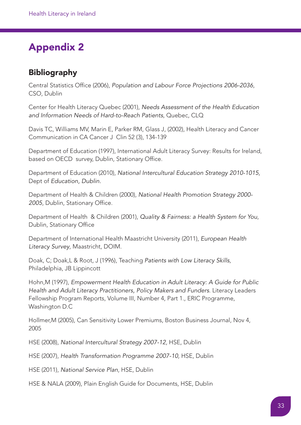# **Appendix 2**

## **Bibliography**

Central Statistics Office (2006), *Population and Labour Force Projections 2006-2036*, CSO, Dublin

Center for Health Literacy Quebec (2001), *Needs Assessment of the Health Education and Information Needs of Hard-to-Reach Patients*, Quebec, CLQ

Davis TC, Williams MV, Marin E, Parker RM, Glass J, (2002), Health Literacy and Cancer Communication in CA Cancer J Clin 52 (3), 134-139

Department of Education (1997), International Adult Literacy Survey: Results for Ireland, based on OECD survey, Dublin, Stationary Office.

Department of Education (2010), *National Intercultural Education Strategy 2010-1015*, Dept of *Education, Dublin.*

Department of Health & Children (2000), *National Health Promotion Strategy 2000- 2005*, Dublin, Stationary Office.

Department of Health & Children (2001), *Quality & Fairness: a Health System for You*, Dublin, Stationary Office

Department of International Health Maastricht University (2011), *European Health Literacy Survey*, Maastricht, DOIM.

Doak, C; Doak,L & Root, J (1996), Teaching *Patients with Low Literacy Skills*, Philadelphia, JB Lippincott

Hohn,M (1997), *Empowerment Health Education in Adult Literacy: A Guide for Public Health and Adult Literacy Practitioners, Policy Makers and Funders*. Literacy Leaders Fellowship Program Reports, Volume III, Number 4, Part 1., ERIC Programme, Washington D.C

Hollmer,M (2005), Can Sensitivity Lower Premiums, Boston Business Journal, Nov 4, 2005

HSE (2008), *National Intercultural Strategy 2007-12*, HSE, Dublin

HSE (2007), *Health Transformation Programme 2007-10*, HSE, Dublin

HSE (2011), *National Service Plan*, HSE, Dublin

HSE & NALA (2009), Plain English Guide for Documents, HSE, Dublin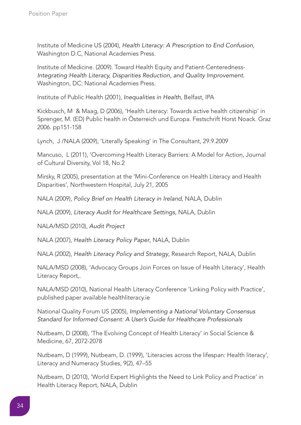Institute of Medicine US (2004), *Health Literacy: A Prescription to End Confusion*, Washington D.C, National Academies Press.

Institute of Medicine. (2009). Toward Health Equity and Patient-Centeredness-*Integrating Health Literacy, Disparities Reduction, and Quality Improvement.* Washington, DC: National Academies Press.

Institute of Public Health (2001), *Inequalities in Health*, Belfast, IPA

Kickbusch, M & Maag, D (2006), 'Health Literacy: Towards active health citizenship' in Sprenger, M. (ED) Public health in Österreich und Europa. Festschrift Horst Noack. Graz 2006. pp151-158

Lynch, J /NALA (2009), 'Literally Speaking' in The Consultant, 29.9.2009

Mancuso, L (2011), 'Overcoming Health Literacy Barriers: A Model for Action, Journal of Cultural Diversity, Vol 18, No.2

Mirsky, R (2005), presentation at the 'Mini-Conference on Health Literacy and Health Disparities', Northwestern Hospital, July 21, 2005

NALA (2009), *Policy Brief on Health Literacy in Ireland*, NALA, Dublin

NALA (2009), *Literacy Audit for Healthcare Settings*, NALA, Dublin

NALA/MSD (2010), *Audit Project*

NALA (2007), *Health Literacy Policy Paper*, NALA, Dublin

NALA (2002), *Health Literacy Policy and Strategy*, Research Report, NALA, Dublin

NALA/MSD (2008), 'Advocacy Groups Join Forces on Issue of Health Literacy', Health Literacy Report,.

NALA/MSD (2010), National Health Literacy Conference 'Linking Policy with Practice', published paper available healthliteracy.ie

National Quality Forum US (2005), *Implementing a National Voluntary Consensus Standard for Informed Consent: A User's Guide for Healthcare Professionals*

Nutbeam, D (2008), 'The Evolving Concept of Health Literacy' in Social Science & Medicine, 67, 2072-2078

Nutbeam, D (1999), Nutbeam, D. (1999), 'Literacies across the lifespan: Health literacy', Literacy and Numeracy Studies, 9(2), 47–55

Nutbeam, D (2010), 'World Expert Highlights the Need to Link Policy and Practice' in Health Literacy Report, NALA, Dublin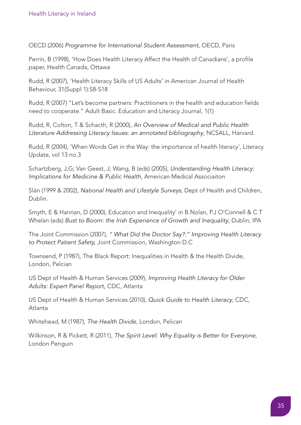OECD (2006) *Programme for International Student Assessment*, OECD, Paris

Perrin, B (1998), 'How Does Health Literacy Affect the Health of Canadians', a profile paper, Health Canada, Ottawa

Rudd, R (2007), 'Health Literacy Skills of US Adults' in American Journal of Health Behaviour, 31(Suppl 1):S8-S18

Rudd, R (2007) "Let's become partners: Practitioners in the health and education fields need to cooperate." Adult Basic. Education and Literacy Journal, 1(1)

Rudd, R, Colton, T & Schacth, R (2000), *An Overview of Medical and Public Health Literature Addressing Literacy Issues: an annotated bibliography*, NCSALL, Harvard.

Rudd, R (2004), 'When Words Get in the Way: the importance of health literacy', Literacy Update, vol 13 no.3

Schartzberg, J,G; Van Geest, J; Wang, B (eds) (2005), *Understanding Health Literacy: Implications for Medicine & Public Health*, American Medical Associaiton

Slán (1999 & 2002), *National Health and Lifestyle Surveys*, Dept of Health and Children, Dublin.

Smyth, E & Hannan, D (2000), Education and Inequality' in B.Nolan, P.J O'Connell & C.T Whelan (eds) *Bust to Boom: the Irish Experience of Growth and Inequality*, Dublin, IPA

The Joint Commission (2007), *" What Did the Doctor Say?:" Improving Health Literacy to Protect Patient Safety,* Joint Commission, Washington D.C

Townsend, P (1987), The Black Report: Inequalities in Health & the Health Divide, London, Pelcian

US Dept of Health & Human Services (2009), *Improving Health Literacy for Older Adults: Expert Panel Report,* CDC, Atlanta

US Dept of Health & Human Services (2010), *Quick Guide to Health Literacy*, CDC, Atlanta

Whitehead, M (1987), *The Health Divide*, London, Pelican

Wilkinson, R & Pickett, R (2011), *The Spirit Level: Why Equality is Better for Everyone*, London Penguin